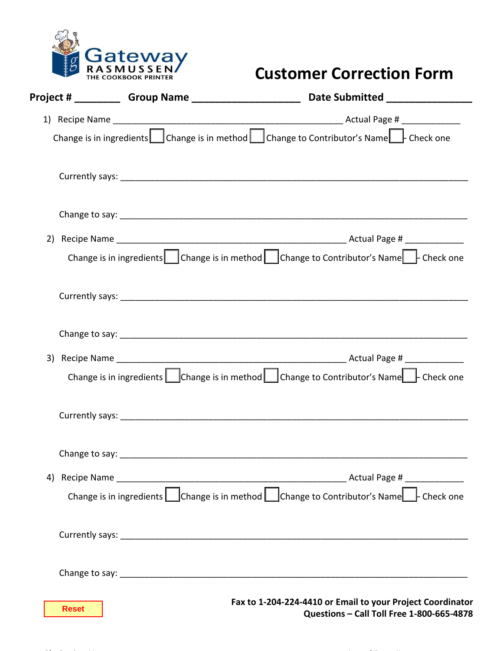

## **Customer Correction Form**

|                | Date Submitted ______________                                                                              |
|----------------|------------------------------------------------------------------------------------------------------------|
|                |                                                                                                            |
|                | Change is in ingredients Change is in method Change to Contributor's Name Check one                        |
|                |                                                                                                            |
|                |                                                                                                            |
|                |                                                                                                            |
|                | Change is in ingredients Change is in method Change to Contributor's Name Check one                        |
|                |                                                                                                            |
|                |                                                                                                            |
|                |                                                                                                            |
|                | Change is in ingredients $\Box$ Change is in method $\Box$ Change to Contributor's Name $\Box$ - Check one |
|                |                                                                                                            |
| Change to say: |                                                                                                            |
| 4)             |                                                                                                            |
|                | Change is in ingredients Change is in method Change to Contributor's Name Check one                        |
|                |                                                                                                            |
|                |                                                                                                            |
| <b>Reset</b>   | Fax to 1-204-224-4410 or Email to your Project Coordinator<br>Questions - Call Toll Free 1-800-665-4878    |

 $\mathbf{S}$  recipe Name  $\mathbf{S}$  recipe Name  $\mathbf{S}$  and  $\mathbf{S}$  and  $\mathbf{S}$  are constant  $\mathbf{S}$  .